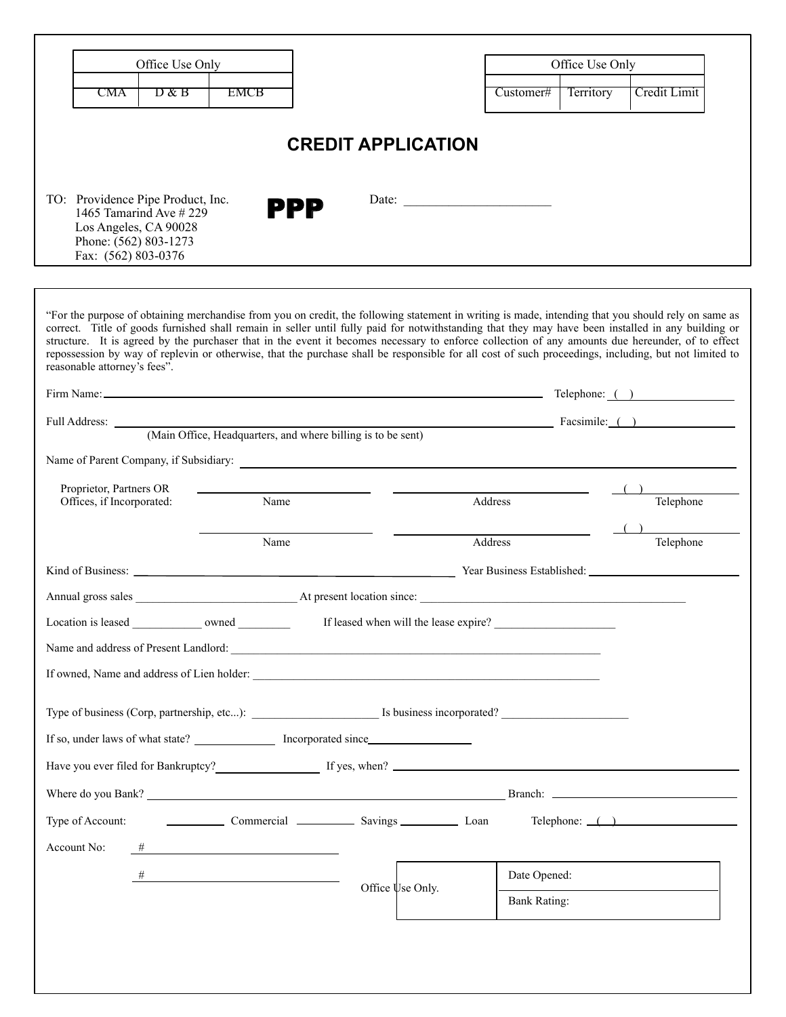| Office Use Only                                                                                                                                                                                                                                                                                                                                                                                                                                                                                                                                                                                                                                       |                                                                                                       |  |                                       |              | Office Use Only |                                   |  |
|-------------------------------------------------------------------------------------------------------------------------------------------------------------------------------------------------------------------------------------------------------------------------------------------------------------------------------------------------------------------------------------------------------------------------------------------------------------------------------------------------------------------------------------------------------------------------------------------------------------------------------------------------------|-------------------------------------------------------------------------------------------------------|--|---------------------------------------|--------------|-----------------|-----------------------------------|--|
| CMA<br>$D$ & B                                                                                                                                                                                                                                                                                                                                                                                                                                                                                                                                                                                                                                        | <b>EMCB</b>                                                                                           |  |                                       | Customer#    | Territory       | Credit Limit                      |  |
| <b>CREDIT APPLICATION</b><br>TO: Providence Pipe Product, Inc.<br>Date:                                                                                                                                                                                                                                                                                                                                                                                                                                                                                                                                                                               |                                                                                                       |  |                                       |              |                 |                                   |  |
| 1465 Tamarind Ave $\#$ 229<br>Los Angeles, CA 90028<br>Phone: (562) 803-1273<br>Fax: (562) 803-0376                                                                                                                                                                                                                                                                                                                                                                                                                                                                                                                                                   | PPP                                                                                                   |  |                                       |              |                 |                                   |  |
| "For the purpose of obtaining merchandise from you on credit, the following statement in writing is made, intending that you should rely on same as<br>correct. Title of goods furnished shall remain in seller until fully paid for notwithstanding that they may have been installed in any building or<br>structure. It is agreed by the purchaser that in the event it becomes necessary to enforce collection of any amounts due hereunder, of to effect<br>repossession by way of replevin or otherwise, that the purchase shall be responsible for all cost of such proceedings, including, but not limited to<br>reasonable attorney's fees". |                                                                                                       |  |                                       |              |                 |                                   |  |
| Firm Name: <u>Contract Contract Contract Contract Contract Contract Contract Contract Contract Contract Contract Contract Contract Contract Contract Contract Contract Contract Contract Contract Contract Contract Contract Con</u>                                                                                                                                                                                                                                                                                                                                                                                                                  |                                                                                                       |  |                                       |              |                 |                                   |  |
| Full Address: (Main Office, Headquarters, and where billing is to be sent) Facsimile: ()                                                                                                                                                                                                                                                                                                                                                                                                                                                                                                                                                              |                                                                                                       |  |                                       |              |                 |                                   |  |
| Name of Parent Company, if Subsidiary:                                                                                                                                                                                                                                                                                                                                                                                                                                                                                                                                                                                                                |                                                                                                       |  |                                       |              |                 |                                   |  |
| Proprietor, Partners OR<br>Offices, if Incorporated:                                                                                                                                                                                                                                                                                                                                                                                                                                                                                                                                                                                                  | Name                                                                                                  |  | Address                               |              |                 | Telephone                         |  |
|                                                                                                                                                                                                                                                                                                                                                                                                                                                                                                                                                                                                                                                       | Name                                                                                                  |  |                                       | Address      |                 | Telephone                         |  |
|                                                                                                                                                                                                                                                                                                                                                                                                                                                                                                                                                                                                                                                       |                                                                                                       |  |                                       |              |                 |                                   |  |
|                                                                                                                                                                                                                                                                                                                                                                                                                                                                                                                                                                                                                                                       |                                                                                                       |  |                                       |              |                 |                                   |  |
| Location is leased _______________ owned _________                                                                                                                                                                                                                                                                                                                                                                                                                                                                                                                                                                                                    |                                                                                                       |  | If leased when will the lease expire? |              |                 |                                   |  |
|                                                                                                                                                                                                                                                                                                                                                                                                                                                                                                                                                                                                                                                       |                                                                                                       |  |                                       |              |                 |                                   |  |
|                                                                                                                                                                                                                                                                                                                                                                                                                                                                                                                                                                                                                                                       |                                                                                                       |  |                                       |              |                 |                                   |  |
|                                                                                                                                                                                                                                                                                                                                                                                                                                                                                                                                                                                                                                                       |                                                                                                       |  |                                       |              |                 |                                   |  |
| Type of business (Corp, partnership, etc): Is business incorporated?                                                                                                                                                                                                                                                                                                                                                                                                                                                                                                                                                                                  |                                                                                                       |  |                                       |              |                 |                                   |  |
|                                                                                                                                                                                                                                                                                                                                                                                                                                                                                                                                                                                                                                                       |                                                                                                       |  |                                       |              |                 |                                   |  |
| Have you ever filed for Bankruptcy? If yes, when?                                                                                                                                                                                                                                                                                                                                                                                                                                                                                                                                                                                                     |                                                                                                       |  |                                       |              |                 |                                   |  |
|                                                                                                                                                                                                                                                                                                                                                                                                                                                                                                                                                                                                                                                       |                                                                                                       |  |                                       |              |                 |                                   |  |
| Type of Account: Commercial Commercial Savings Loan                                                                                                                                                                                                                                                                                                                                                                                                                                                                                                                                                                                                   |                                                                                                       |  |                                       |              |                 | $\text{Telephone: } \_\text{max}$ |  |
| Account No:<br>#                                                                                                                                                                                                                                                                                                                                                                                                                                                                                                                                                                                                                                      | <u> 1989 - Johann Stein, mars an deus an deus Amerikaansk kommunister (</u>                           |  |                                       |              |                 |                                   |  |
|                                                                                                                                                                                                                                                                                                                                                                                                                                                                                                                                                                                                                                                       | $\begin{tabular}{c} H & \begin{tabular}{@{}c@{}} \end{tabular} \\ \hline \end{tabular} \end{tabular}$ |  |                                       | Date Opened: |                 |                                   |  |
|                                                                                                                                                                                                                                                                                                                                                                                                                                                                                                                                                                                                                                                       |                                                                                                       |  | Office Use Only.                      | Bank Rating: |                 |                                   |  |
|                                                                                                                                                                                                                                                                                                                                                                                                                                                                                                                                                                                                                                                       |                                                                                                       |  |                                       |              |                 |                                   |  |
|                                                                                                                                                                                                                                                                                                                                                                                                                                                                                                                                                                                                                                                       |                                                                                                       |  |                                       |              |                 |                                   |  |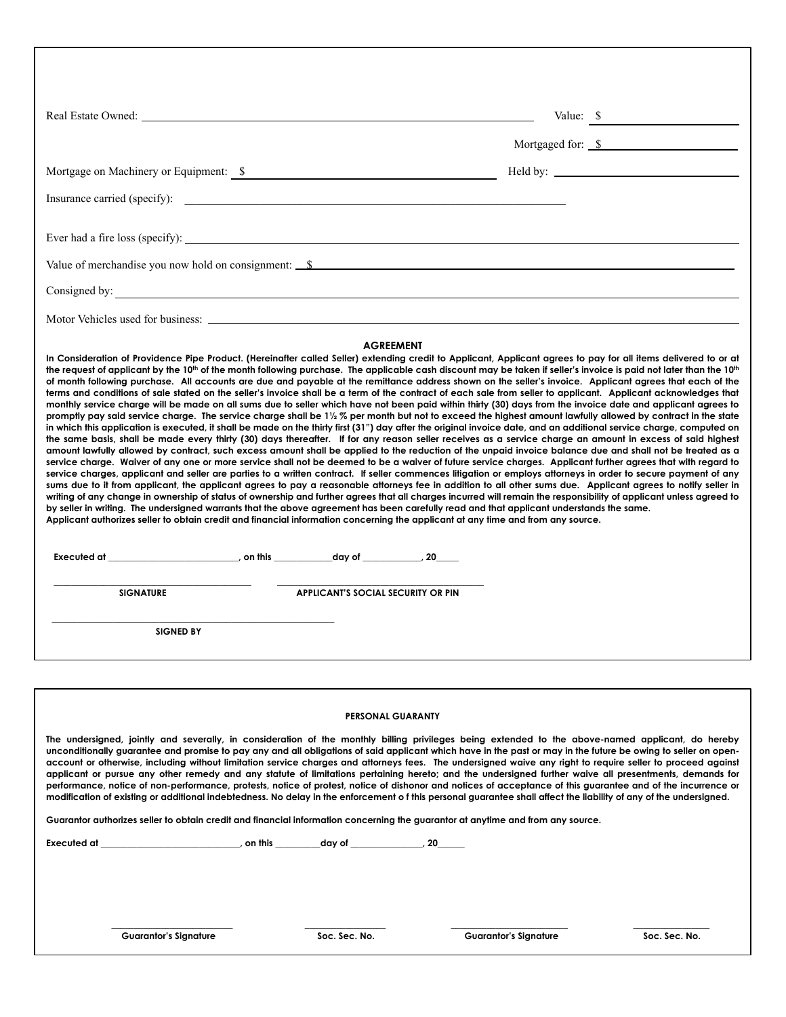|                  | Value: \$                                                                                                                                                                                                                                                                                                                                                                                                                                                                                                                                                                                                                                                                                                                                                                                                                                                                                                                                                                                                                                                                                                                                                                                                                                                                                                                                                                                                                                                                                                                                                                                                                                                                                                                                                                                                                                                                                                                                                                                                                                                                                                              |  |
|------------------|------------------------------------------------------------------------------------------------------------------------------------------------------------------------------------------------------------------------------------------------------------------------------------------------------------------------------------------------------------------------------------------------------------------------------------------------------------------------------------------------------------------------------------------------------------------------------------------------------------------------------------------------------------------------------------------------------------------------------------------------------------------------------------------------------------------------------------------------------------------------------------------------------------------------------------------------------------------------------------------------------------------------------------------------------------------------------------------------------------------------------------------------------------------------------------------------------------------------------------------------------------------------------------------------------------------------------------------------------------------------------------------------------------------------------------------------------------------------------------------------------------------------------------------------------------------------------------------------------------------------------------------------------------------------------------------------------------------------------------------------------------------------------------------------------------------------------------------------------------------------------------------------------------------------------------------------------------------------------------------------------------------------------------------------------------------------------------------------------------------------|--|
|                  | Mortgaged for: \$                                                                                                                                                                                                                                                                                                                                                                                                                                                                                                                                                                                                                                                                                                                                                                                                                                                                                                                                                                                                                                                                                                                                                                                                                                                                                                                                                                                                                                                                                                                                                                                                                                                                                                                                                                                                                                                                                                                                                                                                                                                                                                      |  |
|                  |                                                                                                                                                                                                                                                                                                                                                                                                                                                                                                                                                                                                                                                                                                                                                                                                                                                                                                                                                                                                                                                                                                                                                                                                                                                                                                                                                                                                                                                                                                                                                                                                                                                                                                                                                                                                                                                                                                                                                                                                                                                                                                                        |  |
|                  |                                                                                                                                                                                                                                                                                                                                                                                                                                                                                                                                                                                                                                                                                                                                                                                                                                                                                                                                                                                                                                                                                                                                                                                                                                                                                                                                                                                                                                                                                                                                                                                                                                                                                                                                                                                                                                                                                                                                                                                                                                                                                                                        |  |
|                  |                                                                                                                                                                                                                                                                                                                                                                                                                                                                                                                                                                                                                                                                                                                                                                                                                                                                                                                                                                                                                                                                                                                                                                                                                                                                                                                                                                                                                                                                                                                                                                                                                                                                                                                                                                                                                                                                                                                                                                                                                                                                                                                        |  |
|                  | Value of merchandise you now hold on consignment: $\mathcal{S}$                                                                                                                                                                                                                                                                                                                                                                                                                                                                                                                                                                                                                                                                                                                                                                                                                                                                                                                                                                                                                                                                                                                                                                                                                                                                                                                                                                                                                                                                                                                                                                                                                                                                                                                                                                                                                                                                                                                                                                                                                                                        |  |
| Consigned by:    |                                                                                                                                                                                                                                                                                                                                                                                                                                                                                                                                                                                                                                                                                                                                                                                                                                                                                                                                                                                                                                                                                                                                                                                                                                                                                                                                                                                                                                                                                                                                                                                                                                                                                                                                                                                                                                                                                                                                                                                                                                                                                                                        |  |
|                  |                                                                                                                                                                                                                                                                                                                                                                                                                                                                                                                                                                                                                                                                                                                                                                                                                                                                                                                                                                                                                                                                                                                                                                                                                                                                                                                                                                                                                                                                                                                                                                                                                                                                                                                                                                                                                                                                                                                                                                                                                                                                                                                        |  |
|                  | of month following purchase. All accounts are due and payable at the remittance address shown on the seller's invoice. Applicant agrees that each of the<br>terms and conditions of sale stated on the seller's invoice shall be a term of the contract of each sale from seller to applicant. Applicant acknowledges that<br>monthly service charge will be made on all sums due to seller which have not been paid within thirty (30) days from the invoice date and applicant agrees to<br>promptly pay said service charge. The service charge shall be 1½ % per month but not to exceed the highest amount lawfully allowed by contract in the state<br>in which this application is executed, it shall be made on the thirty first (31") day after the original invoice date, and an additional service charge, computed on<br>the same basis, shall be made every thirty (30) days thereafter. If for any reason seller receives as a service charge an amount in excess of said highest<br>amount lawfully allowed by contract, such excess amount shall be applied to the reduction of the unpaid invoice balance due and shall not be treated as a<br>service charge. Waiver of any one or more service shall not be deemed to be a waiver of future service charges. Applicant further agrees that with regard to<br>service charges, applicant and seller are parties to a written contract. If seller commences litigation or employs attorneys in order to secure payment of any<br>sums due to it from applicant, the applicant agrees to pay a reasonable attorneys fee in addition to all other sums due. Applicant agrees to notify seller in<br>writing of any change in ownership of status of ownership and further agrees that all charges incurred will remain the responsibility of applicant unless agreed to<br>by seller in writing. The undersigned warrants that the above agreement has been carefully read and that applicant understands the same.<br>Applicant authorizes seller to obtain credit and financial information concerning the applicant at any time and from any source. |  |
| <b>SIGNATURE</b> | <b>APPLICANT'S SOCIAL SECURITY OR PIN</b>                                                                                                                                                                                                                                                                                                                                                                                                                                                                                                                                                                                                                                                                                                                                                                                                                                                                                                                                                                                                                                                                                                                                                                                                                                                                                                                                                                                                                                                                                                                                                                                                                                                                                                                                                                                                                                                                                                                                                                                                                                                                              |  |
| <b>SIGNED BY</b> |                                                                                                                                                                                                                                                                                                                                                                                                                                                                                                                                                                                                                                                                                                                                                                                                                                                                                                                                                                                                                                                                                                                                                                                                                                                                                                                                                                                                                                                                                                                                                                                                                                                                                                                                                                                                                                                                                                                                                                                                                                                                                                                        |  |
|                  |                                                                                                                                                                                                                                                                                                                                                                                                                                                                                                                                                                                                                                                                                                                                                                                                                                                                                                                                                                                                                                                                                                                                                                                                                                                                                                                                                                                                                                                                                                                                                                                                                                                                                                                                                                                                                                                                                                                                                                                                                                                                                                                        |  |
|                  | <b>PERSONAL GUARANTY</b>                                                                                                                                                                                                                                                                                                                                                                                                                                                                                                                                                                                                                                                                                                                                                                                                                                                                                                                                                                                                                                                                                                                                                                                                                                                                                                                                                                                                                                                                                                                                                                                                                                                                                                                                                                                                                                                                                                                                                                                                                                                                                               |  |
|                  | The undersigned, jointly and severally, in consideration of the monthly billing privileges being extended to the above-named applicant, do hereby<br>unconditionally guarantee and promise to pay any and all obligations of said applicant which have in the past or may in the future be owing to seller on open-<br>account or otherwise, including without limitation service charges and attorneys fees. The undersigned waive any right to require seller to proceed against<br>applicant or pursue any other remedy and any statute of limitations pertaining hereto; and the undersigned further waive all presentments, demands for<br>performance, notice of non-performance, protests, notice of protest, notice of dishonor and notices of acceptance of this guarantee and of the incurrence or<br>modification of existing or additional indebtedness. No delay in the enforcement of this personal guarantee shall affect the liability of any of the undersigned.                                                                                                                                                                                                                                                                                                                                                                                                                                                                                                                                                                                                                                                                                                                                                                                                                                                                                                                                                                                                                                                                                                                                      |  |

**Guarantor authorizes seller to obtain credit and financial information concerning the guarantor at anytime and from any source.** 

**Executed at \_\_\_\_\_\_\_\_\_\_\_\_\_\_\_\_\_\_\_\_\_\_\_\_\_\_\_\_\_\_\_, on this \_\_\_\_\_\_\_\_\_\_day of \_\_\_\_\_\_\_\_\_\_\_\_\_\_\_\_, 20\_\_\_\_\_\_** 

 **Guarantor's Signature Soc. Sec. No. Guarantor's Signature Soc. Sec. No.** 

 $\mathcal{L}_\text{max} = \frac{1}{2} \sum_{i=1}^{n} \frac{1}{2} \sum_{i=1}^{n} \frac{1}{2} \sum_{i=1}^{n} \frac{1}{2} \sum_{i=1}^{n} \frac{1}{2} \sum_{i=1}^{n} \frac{1}{2} \sum_{i=1}^{n} \frac{1}{2} \sum_{i=1}^{n} \frac{1}{2} \sum_{i=1}^{n} \frac{1}{2} \sum_{i=1}^{n} \frac{1}{2} \sum_{i=1}^{n} \frac{1}{2} \sum_{i=1}^{n} \frac{1}{2} \sum_{i=1}^{n} \frac{1$